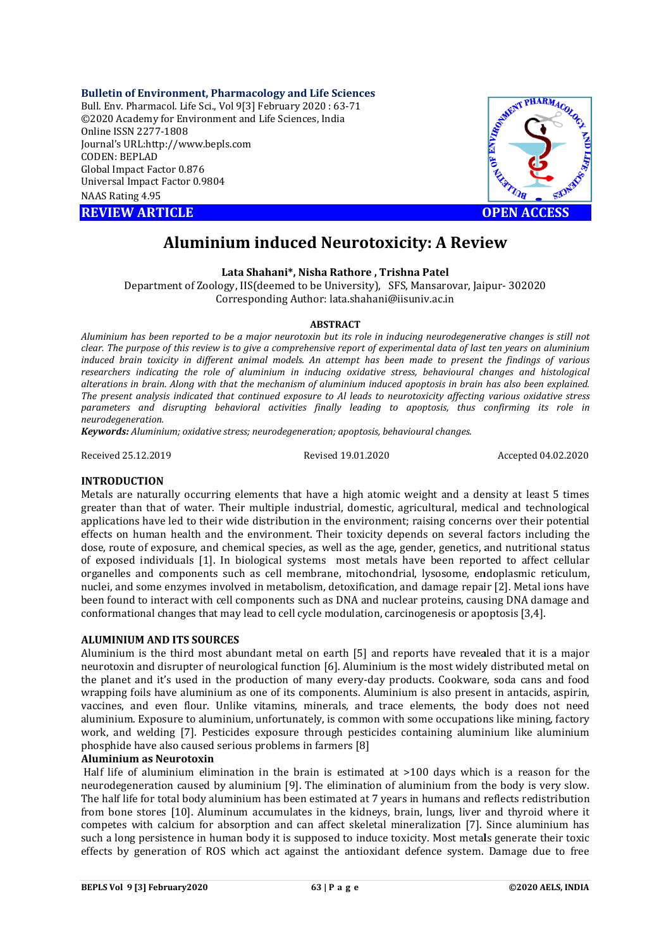**Bulletin of Environment, Pharmacology and Life Sciences**

Bull. Env. Pharmacol. Life Sci., Vol 9[ [3] February 2020 : 63-71 ©2020 Academy for Environment and Life Sciences, India Online ISSN 2277-1808 Journal's URL:http://www.bepls.com CODEN: BEPLAD Global Impact Factor 0.876 Universal Impact Factor 0.9804 NAAS Rating 4.95

**REVIEW ARTICLE** 



# **Aluminium induced Neurotoxicity: A Review**

### **Lata Shahani Shahani\*, Nisha Rathore , Trishna Patel**

Department of Zoology, IIS(deemed to be University), SFS, Mansarovar, Jaipur- 302020 Corresponding Author: lata.shahani@iisuniv.ac.in

### **ABSTRACT**

*Aluminium has been reported to be a major neurotoxin but its role in inducing neurodegenerative inducing changes is still not clear. The purpose of this review is to give a comprehensive report of experimental data of last ten years on aluminium induced brain toxicity in different animal models. An attempt has been made to present the findings of various researchers indicating the role of aluminium in inducing oxidative stress, behavioural changes and histological alterations in brain. Along with that the mechanism of aluminium induced apoptosis in brain has also been explained. The present analysis indicated that continued exposure to Al leads to neurotoxicity affecting various oxidative stress parameters and disrupting behavioral activities finally leading to apoptosis, thus confirming its role in neurodegeneration. earchers indicating the role of aluminium in inducing oxidative stress, behavioura erations in brain. Along with that the mechanism of aluminium induced apoptosis in bre e present analysis indicated that continued exp clear. The purpose of this review is to give a comprehensive report of experimental data of last ten years on aluminium*<br>*induced brain toxicity in different animal models. An attempt has been made to present the findings* 

*Keywords: Aluminium; oxidative stress; ne*

Received 25.12.2019

Revised 19.01.2020

Accepted 04.02.2020

# **INTRODUCTION**

Metals are naturally occurring elements that have a high atomic weight and a density at least 5 times Metals are naturally occurring elements that have a high atomic weight and a density at least 5 times<br>greater than that of water. Their multiple industrial, domestic, agricultural, medical and technological applications have led to their wide distribution in the environment; raising concerns over their potential effects on human health and the environment. Their toxicity depends on several factors including the applications have led to their wide distribution in the environment; raising concerns over their potential effects on human health and the environment. Their toxicity depends on several factors including the dose, route of of exposed individuals [1]. In biological systems most metals have been reported to affect cellular of exposed individuals [1]. In biological systems most metals have been reported to affect cellular organelles and components such as cell membrane, mitochondrial, lysosome, endoplasmic reticulum, nuclei, and some enzymes involved in metabolism, detoxification, and damage repair [2]. Metal ions have been found to interact with cell components such as DNA and nuclear proteins, causing DNA damage and been found to interact with cell components such as DNA and nuclear proteins, causing DNA dan<br>conformational changes that may lead to cell cycle modulation, carcinogenesis or apoptosis [3,4].

### **ALUMINIUM AND ITS SOURCES**

Aluminium is the third most abundant metal on earth [5] and reports have revealed that it is a major neurotoxin and disrupter of neurological function [6]. Aluminium is the most widely distributed metal on the planet and it's used in the production of many every-day products. Cookware, soda cans and food wrapping foils have aluminium as one of its components. Aluminium is also present in antacids, aspirin, vaccines, and even flour. Unlike vitamins, minerals, and trace elements, the body does not need aluminium. Exposure to aluminium, unfortunately, is common with some occupations like mining, factory work, and welding [7]. Pesticides exposure through pesticides containing aluminium like aluminium phosphide have also caused serious problems in farmers [8] nd even flour. Unlike vitamins, minerals, and trace elements, the body does not need Exposure to aluminium, unfortunately, is common with some occupations like mining, factory welding [7]. Pesticides exposure through pesti Aluminium is the third most abundant metal on earth [5] and reports have revealed that it is a major<br>neurotoxin and disrupter of neurological function [6]. Aluminium is the most widely distributed metal on<br>the planet and i

### **Aluminium as Neurotoxin**

Half life of aluminium elimination in the brain is estimated at >100 days which is a reason for the neurodegeneration caused by aluminium [9]. The elimination of aluminium from the body is very slow. The half life for total body aluminium has been estimated at 7 years in humans and reflects redistribution from bone stores [10]. Aluminum accumulates in the kidneys, brain, lungs, liver and thyroid . competes with calcium for absorption and can affect skeletal mineralization [7]. Since aluminium has such a long persistence in human body it is supposed to induce toxicity. Most metals generate their toxic effects by generation of ROS which act a against the antioxidant defence system. Damage due to free I can affect skeletal mineralization [7]. Since aluminium has<br>: supposed to induce toxicity. Most metals generate their toxic<br>gainst the antioxidant defence system. Damage due to free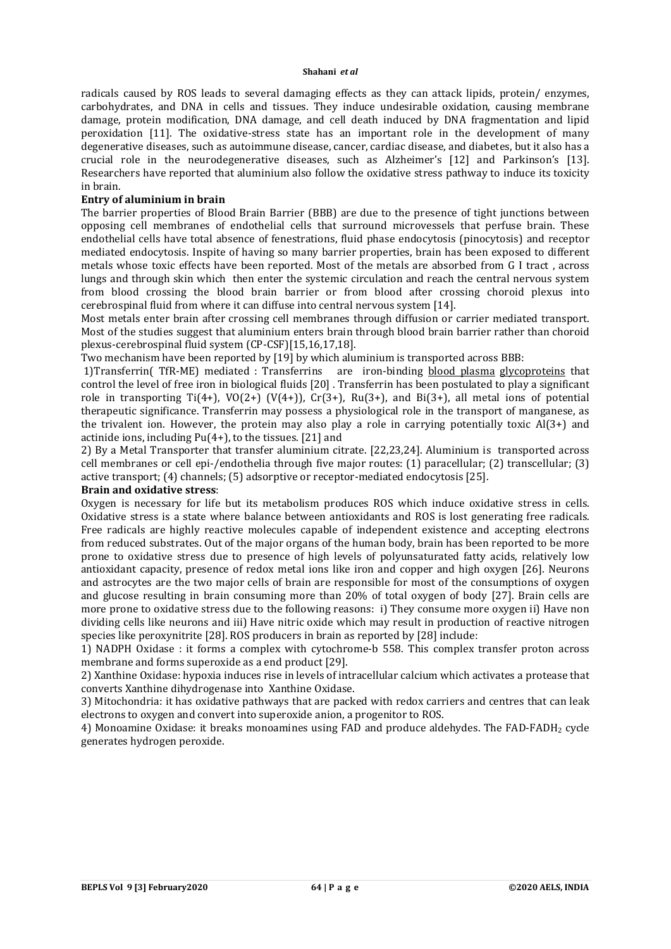radicals caused by ROS leads to several damaging effects as they can attack lipids, protein/ enzymes, carbohydrates, and DNA in cells and tissues. They induce undesirable oxidation, causing membrane damage, protein modification, DNA damage, and cell death induced by DNA fragmentation and lipid peroxidation [11]. The oxidative-stress state has an important role in the development of many degenerative diseases, such as autoimmune disease, cancer, cardiac disease, and diabetes, but it also has a crucial role in the neurodegenerative diseases, such as Alzheimer's [12] and Parkinson's [13]. Researchers have reported that aluminium also follow the oxidative stress pathway to induce its toxicity in brain.

### **Entry of aluminium in brain**

The barrier properties of Blood Brain Barrier (BBB) are due to the presence of tight junctions between opposing cell membranes of endothelial cells that surround microvessels that perfuse brain. These endothelial cells have total absence of fenestrations, fluid phase endocytosis (pinocytosis) and receptor mediated endocytosis. Inspite of having so many barrier properties, brain has been exposed to different metals whose toxic effects have been reported. Most of the metals are absorbed from G I tract , across lungs and through skin which then enter the systemic circulation and reach the central nervous system from blood crossing the blood brain barrier or from blood after crossing choroid plexus into cerebrospinal fluid from where it can diffuse into central nervous system [14].

Most metals enter brain after crossing cell membranes through diffusion or carrier mediated transport. Most of the studies suggest that aluminium enters brain through blood brain barrier rather than choroid plexus-cerebrospinal fluid system (CP-CSF)[15,16,17,18].

Two mechanism have been reported by [19] by which aluminium is transported across BBB:

1)Transferrin( TfR-ME) mediated : Transferrins are iron-binding blood plasma glycoproteins that control the level of free iron in biological fluids [20] . Transferrin has been postulated to play a significant role in transporting  $Ti(4+)$ ,  $VO(2+)$   $(V(4+))$ ,  $Cr(3+)$ ,  $Ru(3+)$ , and  $Bi(3+)$ , all metal ions of potential therapeutic significance. Transferrin may possess a physiological role in the transport of manganese, as the trivalent ion. However, the protein may also play a role in carrying potentially toxic Al(3+) and actinide ions, including Pu(4+), to the tissues. [21] and

2) By a Metal Transporter that transfer aluminium citrate. [22,23,24]. Aluminium is transported across cell membranes or cell epi-/endothelia through five major routes: (1) paracellular; (2) transcellular; (3) active transport; (4) channels; (5) adsorptive or receptor-mediated endocytosis [25].

# **Brain and oxidative stress**:

Oxygen is necessary for life but its metabolism produces ROS which induce oxidative stress in cells. Oxidative stress is a state where balance between antioxidants and ROS is lost generating free radicals. Free radicals are highly reactive molecules capable of independent existence and accepting electrons from reduced substrates. Out of the major organs of the human body, brain has been reported to be more prone to oxidative stress due to presence of high levels of polyunsaturated fatty acids, relatively low antioxidant capacity, presence of redox metal ions like iron and copper and high oxygen [26]. Neurons and astrocytes are the two major cells of brain are responsible for most of the consumptions of oxygen and glucose resulting in brain consuming more than 20% of total oxygen of body [27]. Brain cells are more prone to oxidative stress due to the following reasons: i) They consume more oxygen ii) Have non dividing cells like neurons and iii) Have nitric oxide which may result in production of reactive nitrogen species like peroxynitrite [28]. ROS producers in brain as reported by [28] include:

1) NADPH Oxidase : it forms a complex with cytochrome-b 558. This complex transfer proton across membrane and forms superoxide as a end product [29].

2) Xanthine Oxidase: hypoxia induces rise in levels of intracellular calcium which activates a protease that converts Xanthine dihydrogenase into Xanthine Oxidase.

3) Mitochondria: it has oxidative pathways that are packed with redox carriers and centres that can leak electrons to oxygen and convert into superoxide anion, a progenitor to ROS.

4) Monoamine Oxidase: it breaks monoamines using FAD and produce aldehydes. The FAD-FADH<sub>2</sub> cycle generates hydrogen peroxide.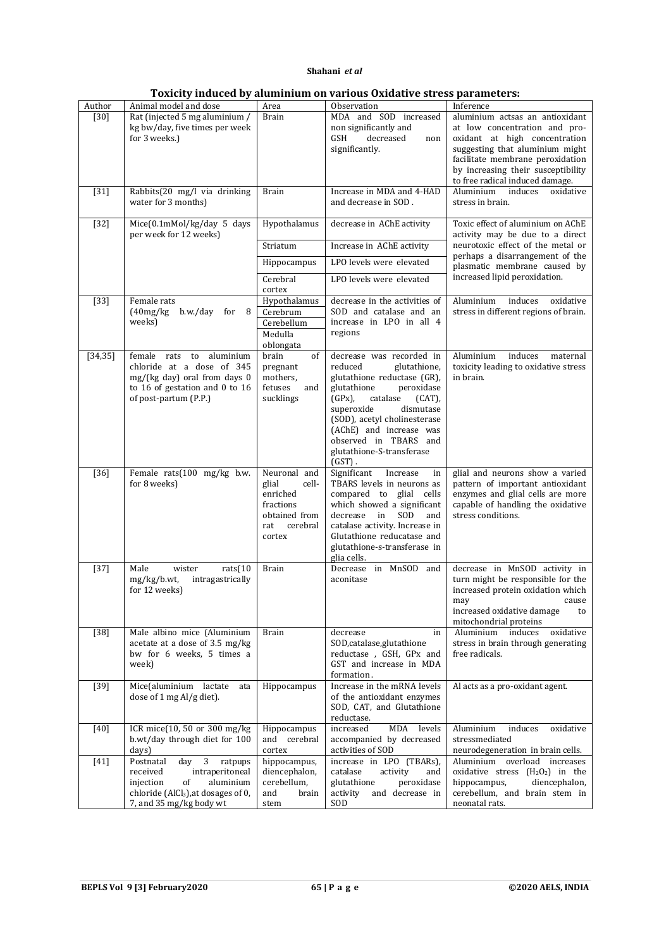|  |  |  | Toxicity induced by aluminium on various Oxidative stress parameters: |
|--|--|--|-----------------------------------------------------------------------|
|--|--|--|-----------------------------------------------------------------------|

| Author   | Animal model and dose                                                                                                                                                         | Area                                                                                                  | Observation                                                                                                                                                                                                                                                                                                    | Inference                                                                                                                                                                                                                                         |
|----------|-------------------------------------------------------------------------------------------------------------------------------------------------------------------------------|-------------------------------------------------------------------------------------------------------|----------------------------------------------------------------------------------------------------------------------------------------------------------------------------------------------------------------------------------------------------------------------------------------------------------------|---------------------------------------------------------------------------------------------------------------------------------------------------------------------------------------------------------------------------------------------------|
| $[30]$   | Rat (injected 5 mg aluminium /<br>kg bw/day, five times per week<br>for 3 weeks.)                                                                                             | <b>Brain</b>                                                                                          | MDA and SOD increased<br>non significantly and<br>GSH<br>decreased<br>non<br>significantly.                                                                                                                                                                                                                    | aluminium actsas an antioxidant<br>at low concentration and pro-<br>oxidant at high concentration<br>suggesting that aluminium might<br>facilitate membrane peroxidation<br>by increasing their susceptibility<br>to free radical induced damage. |
| $[31]$   | Rabbits(20 mg/l via drinking<br>water for 3 months)                                                                                                                           | <b>Brain</b>                                                                                          | Increase in MDA and 4-HAD<br>and decrease in SOD.                                                                                                                                                                                                                                                              | Aluminium<br>induces<br>oxidative<br>stress in brain.                                                                                                                                                                                             |
| $[32]$   | Mice(0.1mMol/kg/day 5 days<br>per week for 12 weeks)                                                                                                                          | Hypothalamus                                                                                          | decrease in AChE activity                                                                                                                                                                                                                                                                                      | Toxic effect of aluminium on AChE<br>activity may be due to a direct                                                                                                                                                                              |
|          |                                                                                                                                                                               | Striatum                                                                                              | Increase in AChE activity                                                                                                                                                                                                                                                                                      | neurotoxic effect of the metal or<br>perhaps a disarrangement of the                                                                                                                                                                              |
|          |                                                                                                                                                                               | Hippocampus                                                                                           | LPO levels were elevated                                                                                                                                                                                                                                                                                       | plasmatic membrane caused by                                                                                                                                                                                                                      |
|          |                                                                                                                                                                               | Cerebral<br>cortex                                                                                    | LPO levels were elevated                                                                                                                                                                                                                                                                                       | increased lipid peroxidation.                                                                                                                                                                                                                     |
| $[33]$   | Female rats<br>(40mg/kg)<br>b.w./day<br>for $8$<br>weeks)                                                                                                                     | Hypothalamus<br>Cerebrum<br>Cerebellum<br>Medulla<br>oblongata                                        | decrease in the activities of<br>SOD and catalase and an<br>increase in LPO in all 4<br>regions                                                                                                                                                                                                                | oxidative<br>Aluminium<br>induces<br>stress in different regions of brain.                                                                                                                                                                        |
| [34, 35] | female rats<br>aluminium<br>to<br>chloride at a dose of 345<br>$mg/(kg \text{ day})$ oral from days 0<br>to 16 of gestation and 0 to $16$<br>of post-partum (P.P.)            | brain<br>of<br>pregnant<br>mothers.<br>fetuses<br>and<br>sucklings                                    | decrease was recorded in<br>reduced<br>glutathione,<br>glutathione reductase (GR),<br>glutathione<br>peroxidase<br>$(GPx)$ ,<br>catalase<br>$(CAT)$ ,<br>superoxide<br>dismutase<br>(SOD), acetyl cholinesterase<br>(AChE) and increase was<br>observed in TBARS and<br>glutathione-S-transferase<br>$(GST)$ . | Aluminium<br>induces<br>maternal<br>toxicity leading to oxidative stress<br>in brain.                                                                                                                                                             |
| $[36]$   | Female rats(100 mg/kg b.w.<br>for 8 weeks)                                                                                                                                    | Neuronal and<br>glial<br>cell-<br>enriched<br>fractions<br>obtained from<br>cerebral<br>rat<br>cortex | Significant<br>Increase<br>in<br>TBARS levels in neurons as<br>compared to glial cells<br>which showed a significant<br>SOD<br>decrease<br>in<br>and<br>catalase activity. Increase in<br>Glutathione reducatase and<br>glutathione-s-transferase in<br>glia cells.                                            | glial and neurons show a varied<br>pattern of important antioxidant<br>enzymes and glial cells are more<br>capable of handling the oxidative<br>stress conditions.                                                                                |
| $[37]$   | wister<br>rats(10<br>Male<br>mg/kg/b.wt,<br>intragastrically<br>for 12 weeks)                                                                                                 | <b>Brain</b>                                                                                          | Decrease in MnSOD<br>and<br>aconitase                                                                                                                                                                                                                                                                          | decrease in MnSOD activity in<br>turn might be responsible for the<br>increased protein oxidation which<br>may<br>cause<br>increased oxidative damage<br>to<br>mitochondrial proteins                                                             |
| $[38]$   | Male albino mice (Aluminium<br>acetate at a dose of 3.5 mg/kg<br>bw for 6 weeks, 5 times a<br>week)                                                                           | <b>Brain</b>                                                                                          | decrease<br>in<br>SOD, catalase, glutathione<br>reductase, GSH, GPx and<br>GST and increase in MDA<br>formation.                                                                                                                                                                                               | Aluminium<br>induces<br>oxidative<br>stress in brain through generating<br>free radicals.                                                                                                                                                         |
| $[39]$   | Mice(aluminium lactate<br>ata<br>dose of 1 mg Al/g diet).                                                                                                                     | Hippocampus                                                                                           | Increase in the mRNA levels<br>of the antioxidant enzymes<br>SOD, CAT, and Glutathione<br>reductase.                                                                                                                                                                                                           | Al acts as a pro-oxidant agent.                                                                                                                                                                                                                   |
| $[40]$   | ICR mice(10, 50 or 300 mg/kg<br>b.wt/day through diet for 100<br>days)                                                                                                        | Hippocampus<br>and cerebral<br>cortex                                                                 | MDA<br>increased<br>levels<br>accompanied by decreased<br>activities of SOD                                                                                                                                                                                                                                    | Aluminium<br>induces<br>oxidative<br>stressmediated<br>neurodegeneration in brain cells.                                                                                                                                                          |
| $[41]$   | Postnatal<br>3<br>ratpups<br>day<br>received<br>intraperitoneal<br>aluminium<br>injection<br>of<br>chloride (AlCl <sub>3</sub> ), at dosages of 0,<br>7, and 35 mg/kg body wt | hippocampus,<br>diencephalon,<br>cerebellum,<br>and<br>brain<br>stem                                  | increase in LPO (TBARs),<br>catalase<br>activity<br>and<br>glutathione<br>peroxidase<br>and decrease in<br>activity<br>SOD                                                                                                                                                                                     | Aluminium overload increases<br>oxidative stress $(H_2O_2)$ in the<br>hippocampus,<br>diencephalon,<br>cerebellum, and brain stem in<br>neonatal rats.                                                                                            |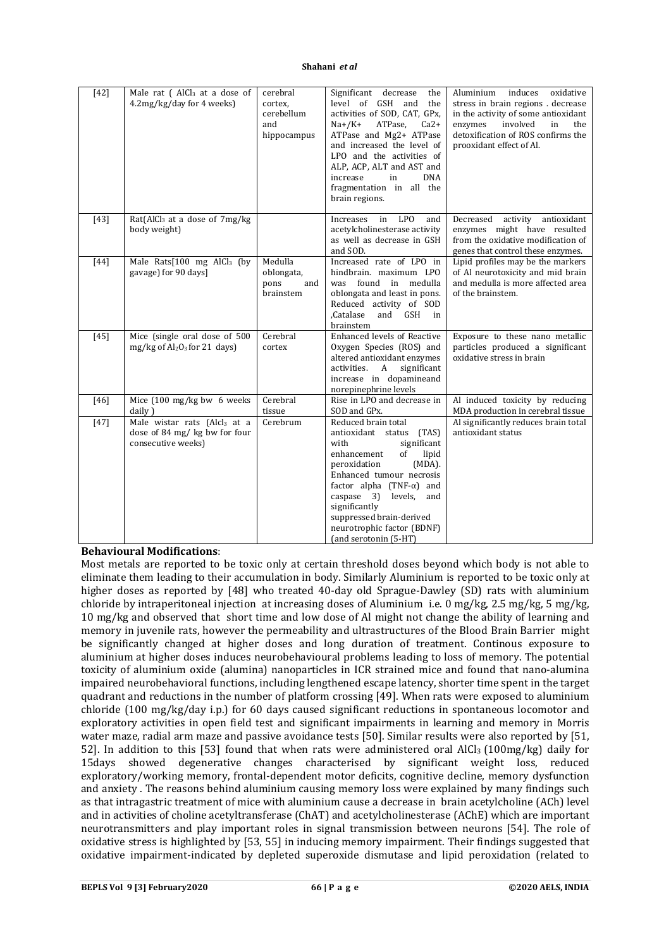| $[42]$ | Male rat (AlCl <sub>3</sub> at a dose of<br>4.2mg/kg/day for 4 weeks)                           | cerebral<br>cortex,<br>cerebellum<br>and<br>hippocampus | Significant decrease<br>the<br>level of GSH<br>and<br>the<br>activities of SOD, CAT, GPx,<br>$Na+ / K+$<br>ATPase,<br>$Ca2+$<br>ATPase and Mg2+ ATPase<br>and increased the level of<br>LPO and the activities of<br>ALP, ACP, ALT and AST and<br>increase<br>in<br>DNA<br>fragmentation in all the<br>brain regions.                     | Aluminium<br>induces<br>oxidative<br>stress in brain regions. decrease<br>in the activity of some antioxidant<br>involved<br>enzymes<br>in<br>the<br>detoxification of ROS confirms the<br>prooxidant effect of Al. |
|--------|-------------------------------------------------------------------------------------------------|---------------------------------------------------------|-------------------------------------------------------------------------------------------------------------------------------------------------------------------------------------------------------------------------------------------------------------------------------------------------------------------------------------------|---------------------------------------------------------------------------------------------------------------------------------------------------------------------------------------------------------------------|
| $[43]$ | Rat(AlCl <sub>3</sub> at a dose of 7mg/kg<br>body weight)                                       |                                                         | in<br><b>LPO</b><br>Increases<br>and<br>acetylcholinesterase activity<br>as well as decrease in GSH<br>and SOD.                                                                                                                                                                                                                           | Decreased<br>activity<br>antioxidant<br>enzymes might have resulted<br>from the oxidative modification of<br>genes that control these enzymes.                                                                      |
| $[44]$ | Male Rats $[100$ mg AlCl <sub>3</sub> (by<br>gavage) for 90 days]                               | Medulla<br>oblongata,<br>pons<br>and<br>brainstem       | Increased rate of LPO in<br>hindbrain, maximum LPO<br>was found in medulla<br>oblongata and least in pons.<br>Reduced activity of SOD<br>GSH in<br>Catalase.<br>and<br>brainstem                                                                                                                                                          | Lipid profiles may be the markers<br>of Al neurotoxicity and mid brain<br>and medulla is more affected area<br>of the brainstem.                                                                                    |
| $[45]$ | Mice (single oral dose of 500<br>$mg/kg$ of Al <sub>2</sub> O <sub>3</sub> for 21 days)         | Cerebral<br>cortex                                      | Enhanced levels of Reactive<br>Oxygen Species (ROS) and<br>altered antioxidant enzymes<br>activities.<br>A<br>significant<br>increase in dopamineand<br>norepinephrine levels                                                                                                                                                             | Exposure to these nano metallic<br>particles produced a significant<br>oxidative stress in brain                                                                                                                    |
| $[46]$ | Mice (100 mg/kg bw 6 weeks<br>daily)                                                            | Cerebral<br>tissue                                      | Rise in LPO and decrease in<br>SOD and GPx.                                                                                                                                                                                                                                                                                               | Al induced toxicity by reducing<br>MDA production in cerebral tissue                                                                                                                                                |
| $[47]$ | Male wistar rats (Alcl <sub>3</sub> at a<br>dose of 84 mg/ kg bw for four<br>consecutive weeks) | Cerebrum                                                | Reduced brain total<br>antioxidant status<br>(TAS)<br>with<br>significant<br>enhancement<br>of<br>lipid<br>$(MDA)$ .<br>peroxidation<br>Enhanced tumour necrosis<br>factor alpha (TNF- $\alpha$ ) and<br>levels,<br>caspase 3)<br>and<br>significantly<br>suppressed brain-derived<br>neurotrophic factor (BDNF)<br>(and serotonin (5-HT) | Al significantly reduces brain total<br>antioxidant status                                                                                                                                                          |

### **Behavioural Modifications**:

Most metals are reported to be toxic only at certain threshold doses beyond which body is not able to eliminate them leading to their accumulation in body. Similarly Aluminium is reported to be toxic only at higher doses as reported by [48] who treated 40-day old Sprague-Dawley (SD) rats with aluminium chloride by intraperitoneal injection at increasing doses of Aluminium i.e. 0 mg/kg, 2.5 mg/kg, 5 mg/kg, 10 mg/kg and observed that short time and low dose of Al might not change the ability of learning and memory in juvenile rats, however the permeability and ultrastructures of the Blood Brain Barrier might be significantly changed at higher doses and long duration of treatment. Continous exposure to aluminium at higher doses induces neurobehavioural problems leading to loss of memory. The potential toxicity of aluminium oxide (alumina) nanoparticles in ICR strained mice and found that nano-alumina impaired neurobehavioral functions, including lengthened escape latency, shorter time spent in the target quadrant and reductions in the number of platform crossing [49]. When rats were exposed to aluminium chloride (100 mg/kg/day i.p.) for 60 days caused significant reductions in spontaneous locomotor and exploratory activities in open field test and significant impairments in learning and memory in Morris water maze, radial arm maze and passive avoidance tests [50]. Similar results were also reported by [51, 52]. In addition to this [53] found that when rats were administered oral AlCl<sub>3</sub> (100mg/kg) daily for 15days showed degenerative changes characterised by significant weight loss, reduced exploratory/working memory, frontal-dependent motor deficits, cognitive decline, memory dysfunction and anxiety . The reasons behind aluminium causing memory loss were explained by many findings such as that intragastric treatment of mice with aluminium cause a decrease in brain acetylcholine (ACh) level and in activities of choline acetyltransferase (ChAT) and acetylcholinesterase (AChE) which are important neurotransmitters and play important roles in signal transmission between neurons [54]. The role of oxidative stress is highlighted by [53, 55] in inducing memory impairment. Their findings suggested that oxidative impairment-indicated by depleted superoxide dismutase and lipid peroxidation (related to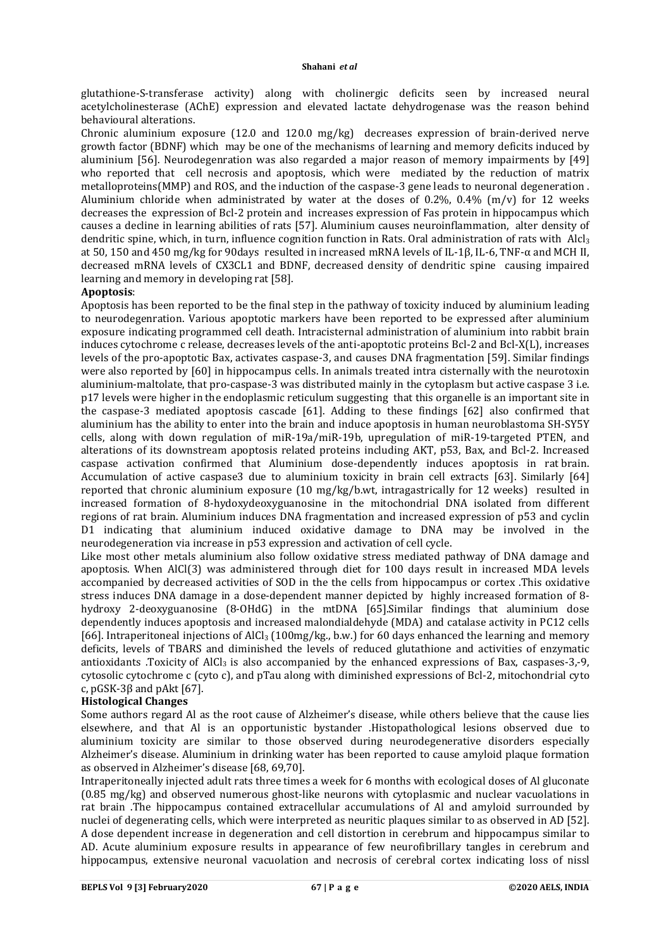glutathione-S-transferase activity) along with cholinergic deficits seen by increased neural acetylcholinesterase (AChE) expression and elevated lactate dehydrogenase was the reason behind behavioural alterations.

Chronic aluminium exposure (12.0 and 120.0 mg/kg) decreases expression of brain-derived nerve growth factor (BDNF) which may be one of the mechanisms of learning and memory deficits induced by aluminium [56]. Neurodegenration was also regarded a major reason of memory impairments by [49] who reported that cell necrosis and apoptosis, which were mediated by the reduction of matrix metalloproteins(MMP) and ROS, and the induction of the caspase-3 gene leads to neuronal degeneration . Aluminium chloride when administrated by water at the doses of 0.2%, 0.4% (m/v) for 12 weeks decreases the expression of Bcl-2 protein and increases expression of Fas protein in hippocampus which causes a decline in learning abilities of rats [57]. Aluminium causes neuroinflammation, alter density of dendritic spine, which, in turn, influence cognition function in Rats. Oral administration of rats with Alcl<sub>3</sub> at 50, 150 and 450 mg/kg for 90days resulted in increased mRNA levels of IL-1β, IL-6, TNF-α and MCH II, decreased mRNA levels of CX3CL1 and BDNF, decreased density of dendritic spine causing impaired learning and memory in developing rat [58].

## **Apoptosis**:

Apoptosis has been reported to be the final step in the pathway of toxicity induced by aluminium leading to neurodegenration. Various apoptotic markers have been reported to be expressed after aluminium exposure indicating programmed cell death. Intracisternal administration of aluminium into rabbit brain induces cytochrome c release, decreases levels of the anti-apoptotic proteins Bcl-2 and Bcl-X(L), increases levels of the pro-apoptotic Bax, activates caspase-3, and causes DNA fragmentation [59]. Similar findings were also reported by [60] in hippocampus cells. In animals treated intra cisternally with the neurotoxin aluminium-maltolate, that pro-caspase-3 was distributed mainly in the cytoplasm but active caspase 3 i.e. p17 levels were higher in the endoplasmic reticulum suggesting that this organelle is an important site in the caspase-3 mediated apoptosis cascade [61]. Adding to these findings [62] also confirmed that aluminium has the ability to enter into the brain and induce apoptosis in human neuroblastoma SH-SY5Y cells, along with down regulation of miR-19a/miR-19b, upregulation of miR-19-targeted PTEN, and alterations of its downstream apoptosis related proteins including AKT, p53, Bax, and Bcl-2. Increased caspase activation confirmed that Aluminium dose-dependently induces apoptosis in rat brain. Accumulation of active caspase3 due to aluminium toxicity in brain cell extracts [63]. Similarly [64] reported that chronic aluminium exposure (10 mg/kg/b.wt, intragastrically for 12 weeks) resulted in increased formation of 8-hydoxydeoxyguanosine in the mitochondrial DNA isolated from different regions of rat brain. Aluminium induces DNA fragmentation and increased expression of p53 and cyclin D1 indicating that aluminium induced oxidative damage to DNA may be involved in the neurodegeneration via increase in p53 expression and activation of cell cycle.

Like most other metals aluminium also follow oxidative stress mediated pathway of DNA damage and apoptosis. When AlCl(3) was administered through diet for 100 days result in increased MDA levels accompanied by decreased activities of SOD in the the cells from hippocampus or cortex .This oxidative stress induces DNA damage in a dose-dependent manner depicted by highly increased formation of 8 hydroxy 2-deoxyguanosine (8-OHdG) in the mtDNA [65].Similar findings that aluminium dose dependently induces apoptosis and increased malondialdehyde (MDA) and catalase activity in PC12 cells [66]. Intraperitoneal injections of AlCl<sub>3</sub> (100mg/kg., b.w.) for 60 days enhanced the learning and memory deficits, levels of TBARS and diminished the levels of reduced glutathione and activities of enzymatic antioxidants .Toxicity of AlCl<sub>3</sub> is also accompanied by the enhanced expressions of Bax, caspases-3,-9, cytosolic cytochrome c (cyto c), and pTau along with diminished expressions of Bcl-2, mitochondrial cyto c, pGSK-3β and pAkt [67].

# **Histological Changes**

Some authors regard Al as the root cause of Alzheimer's disease, while others believe that the cause lies elsewhere, and that Al is an opportunistic bystander .Histopathological lesions observed due to aluminium toxicity are similar to those observed during neurodegenerative disorders especially Alzheimer's disease. Aluminium in drinking water has been reported to cause amyloid plaque formation as observed in Alzheimer's disease [68, 69,70].

Intraperitoneally injected adult rats three times a week for 6 months with ecological doses of Al gluconate (0.85 mg/kg) and observed numerous ghost-like neurons with cytoplasmic and nuclear vacuolations in rat brain .The hippocampus contained extracellular accumulations of Al and amyloid surrounded by nuclei of degenerating cells, which were interpreted as neuritic plaques similar to as observed in AD [52]. A dose dependent increase in degeneration and cell distortion in cerebrum and hippocampus similar to AD. Acute aluminium exposure results in appearance of few neurofibrillary tangles in cerebrum and hippocampus, extensive neuronal vacuolation and necrosis of cerebral cortex indicating loss of nissl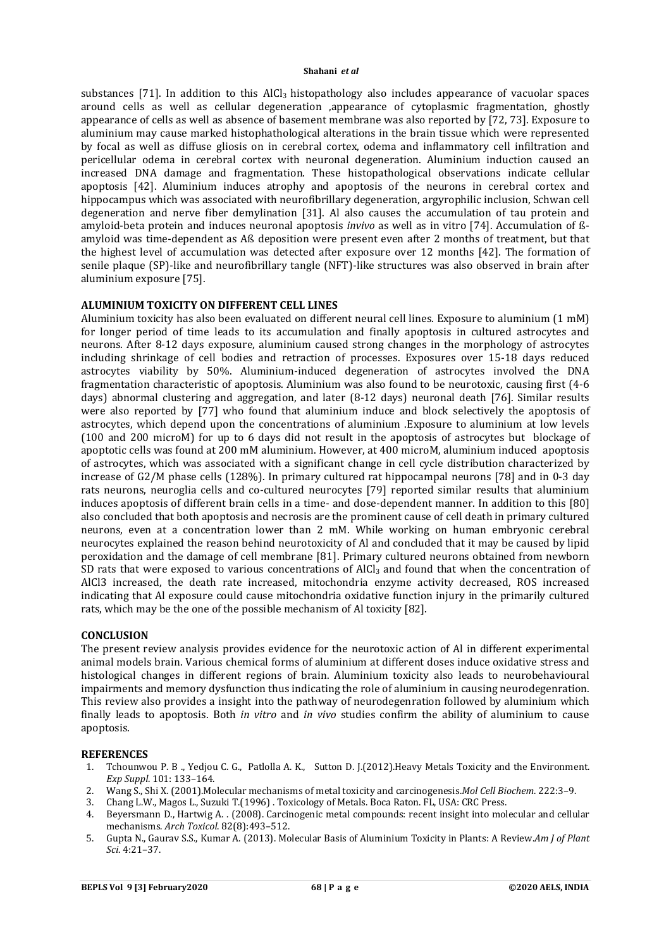substances [71]. In addition to this  $AICI_3$  histopathology also includes appearance of vacuolar spaces around cells as well as cellular degeneration ,appearance of cytoplasmic fragmentation, ghostly appearance of cells as well as absence of basement membrane was also reported by [72, 73]. Exposure to aluminium may cause marked histophathological alterations in the brain tissue which were represented by focal as well as diffuse gliosis on in cerebral cortex, odema and inflammatory cell infiltration and pericellular odema in cerebral cortex with neuronal degeneration. Aluminium induction caused an increased DNA damage and fragmentation. These histopathological observations indicate cellular apoptosis [42]. Aluminium induces atrophy and apoptosis of the neurons in cerebral cortex and hippocampus which was associated with neurofibrillary degeneration, argyrophilic inclusion, Schwan cell degeneration and nerve fiber demylination [31]. Al also causes the accumulation of tau protein and amyloid-beta protein and induces neuronal apoptosis *invivo* as well as in vitro [74]. Accumulation of ßamyloid was time-dependent as Aß deposition were present even after 2 months of treatment, but that the highest level of accumulation was detected after exposure over 12 months [42]. The formation of senile plaque (SP)-like and neurofibrillary tangle (NFT)-like structures was also observed in brain after aluminium exposure [75].

### **ALUMINIUM TOXICITY ON DIFFERENT CELL LINES**

Aluminium toxicity has also been evaluated on different neural cell lines. Exposure to aluminium (1 mM) for longer period of time leads to its accumulation and finally apoptosis in cultured astrocytes and neurons. After 8-12 days exposure, aluminium caused strong changes in the morphology of astrocytes including shrinkage of cell bodies and retraction of processes. Exposures over 15-18 days reduced astrocytes viability by 50%. Aluminium-induced degeneration of astrocytes involved the DNA fragmentation characteristic of apoptosis. Aluminium was also found to be neurotoxic, causing first (4-6 days) abnormal clustering and aggregation, and later (8-12 days) neuronal death [76]. Similar results were also reported by [77] who found that aluminium induce and block selectively the apoptosis of astrocytes, which depend upon the concentrations of aluminium .Exposure to aluminium at low levels (100 and 200 microM) for up to 6 days did not result in the apoptosis of astrocytes but blockage of apoptotic cells was found at 200 mM aluminium. However, at 400 microM, aluminium induced apoptosis of astrocytes, which was associated with a significant change in cell cycle distribution characterized by increase of G2/M phase cells (128%). In primary cultured rat hippocampal neurons [78] and in 0-3 day rats neurons, neuroglia cells and co-cultured neurocytes [79] reported similar results that aluminium induces apoptosis of different brain cells in a time- and dose-dependent manner. In addition to this [80] also concluded that both apoptosis and necrosis are the prominent cause of cell death in primary cultured neurons, even at a concentration lower than 2 mM. While working on human embryonic cerebral neurocytes explained the reason behind neurotoxicity of Al and concluded that it may be caused by lipid peroxidation and the damage of cell membrane [81]. Primary cultured neurons obtained from newborn SD rats that were exposed to various concentrations of  $AICI_3$  and found that when the concentration of AlCl3 increased, the death rate increased, mitochondria enzyme activity decreased, ROS increased indicating that Al exposure could cause mitochondria oxidative function injury in the primarily cultured rats, which may be the one of the possible mechanism of Al toxicity [82].

### **CONCLUSION**

The present review analysis provides evidence for the neurotoxic action of Al in different experimental animal models brain. Various chemical forms of aluminium at different doses induce oxidative stress and histological changes in different regions of brain. Aluminium toxicity also leads to neurobehavioural impairments and memory dysfunction thus indicating the role of aluminium in causing neurodegenration. This review also provides a insight into the pathway of neurodegenration followed by aluminium which finally leads to apoptosis. Both *in vitro* and *in vivo* studies confirm the ability of aluminium to cause apoptosis.

#### **REFERENCES**

- 1. Tchounwou P. B ., Yedjou C. G., Patlolla A. K., Sutton D. J.(2012).Heavy Metals Toxicity and the Environment. *Exp Suppl*. 101: 133–164.
- 2. Wang S., Shi X. (2001).Molecular mechanisms of metal toxicity and carcinogenesis.*Mol Cell Biochem*. 222:3–9.
- 3. Chang L.W., Magos L., Suzuki T.(1996) . Toxicology of Metals. Boca Raton. FL, USA: CRC Press.
- 4. Beyersmann D., Hartwig A. . (2008). Carcinogenic metal compounds: recent insight into molecular and cellular mechanisms. *Arch Toxicol*. 82(8):493–512.
- 5. Gupta N., Gaurav S.S., Kumar A. (2013). Molecular Basis of Aluminium Toxicity in Plants: A Review.*Am J of Plant Sci*. 4:21–37.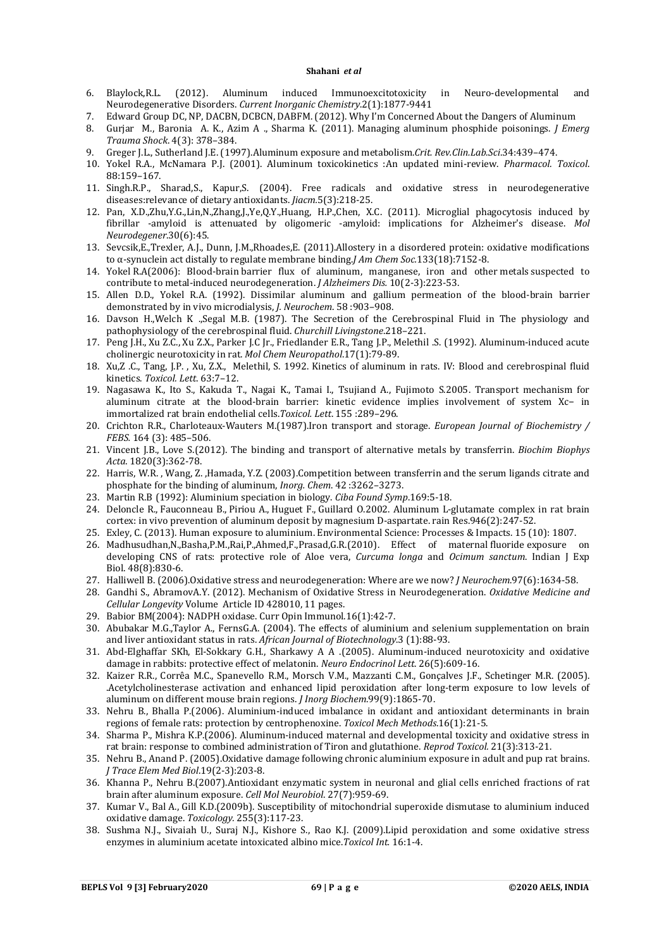- 6. Blaylock,R.L. (2012). Aluminum induced Immunoexcitotoxicity in Neuro-developmental and Neurodegenerative Disorders. *Current Inorganic Chemistry*.2(1):1877-9441
- 7. Edward Group DC, NP, DACBN, DCBCN, DABFM. (2012). Why I'm Concerned About the Dangers of Aluminum
- 8. Gurjar M., Baronia A. K., Azim A ., Sharma K. (2011). Managing aluminum phosphide poisonings. *J Emerg Trauma Shock*. 4(3): 378–384.
- 9. Greger J.L., Sutherland J.E. (1997).Aluminum exposure and metabolism.*Crit. Rev.Clin.Lab.Sci*.34:439–474.
- 10. Yokel R.A., McNamara P.J. (2001). Aluminum toxicokinetics :An updated mini-review. *Pharmacol. Toxicol*. 88:159–167.
- 11. Singh.R.P., Sharad,S., Kapur,S. (2004). Free radicals and oxidative stress in neurodegenerative diseases:relevance of dietary antioxidants. *Jiacm.*5(3):218-25.
- 12. Pan, X.D.,Zhu,Y.G.,Lin,N.,Zhang,J.,Ye,Q.Y.,Huang, H.P.,Chen, X.C. (2011). Microglial phagocytosis induced by fibrillar -amyloid is attenuated by oligomeric -amyloid: implications for Alzheimer's disease. *Mol Neurodegener*.30(6):45.
- 13. Sevcsik,E.,Trexler, A.J., Dunn, J.M.,Rhoades,E. (2011).Allostery in a disordered protein: oxidative modifications to α-synuclein act distally to regulate membrane binding.*J Am Chem Soc.*133(18):7152-8.
- 14. Yokel R.A(2006): Blood-brain barrier flux of aluminum, manganese, iron and other metals suspected to contribute to metal-induced neurodegeneration. *J Alzheimers Dis.* 10(2-3):223-53.
- 15. Allen D.D., Yokel R.A. (1992). Dissimilar aluminum and gallium permeation of the blood-brain barrier demonstrated by in vivo microdialysis, *J. Neurochem*. 58 :903–908.
- 16. Davson H.,Welch K .,Segal M.B. (1987). The Secretion of the Cerebrospinal Fluid in The physiology and pathophysiology of the cerebrospinal fluid. *Churchill Livingstone*.218–221.
- 17. Peng J.H., Xu Z.C., Xu Z.X., Parker J.C Jr., Friedlander E.R., Tang J.P., Melethil .S. (1992). Aluminum-induced acute cholinergic neurotoxicity in rat. *Mol Chem Neuropathol*.17(1):79-89.
- 18. Xu,Z .C., Tang, J.P. , Xu, Z.X., Melethil, S. 1992. Kinetics of aluminum in rats. IV: Blood and cerebrospinal fluid kinetics. *Toxicol. Lett*. 63:7–12.
- 19. Nagasawa K., Ito S., Kakuda T., Nagai K., Tamai I., Tsujiand A., Fujimoto S.2005. Transport mechanism for aluminum citrate at the blood-brain barrier: kinetic evidence implies involvement of system Xc− in immortalized rat brain endothelial cells.*Toxicol. Lett*. 155 :289–296.
- 20. Crichton R.R., Charloteaux-Wauters M.(1987).Iron transport and storage. *European Journal of Biochemistry / FEBS.* 164 (3): 485–506.
- 21. Vincent J.B., Love S.(2012). The binding and transport of alternative metals by transferrin. *Biochim Biophys Acta*. 1820(3):362-78.
- 22. Harris, W.R. , Wang, Z. ,Hamada, Y.Z. (2003).Competition between transferrin and the serum ligands citrate and phosphate for the binding of aluminum, *Inorg. Chem*. 42 :3262–3273.
- 23. Martin R.B (1992): Aluminium speciation in biology. *Ciba Found Symp*.169:5-18.
- 24. Deloncle R., Fauconneau B., Piriou A., Huguet F., Guillard O.2002. Aluminum L-glutamate complex in rat brain cortex: in vivo prevention of aluminum deposit by magnesium D-aspartate. rain Res.946(2):247-52.
- 25. Exley, C. (2013). Human exposure to aluminium. Environmental Science: Processes & Impacts. 15 (10): 1807.
- 26. Madhusudhan,N.,Basha,P.M.,Rai,P.,Ahmed,F.,Prasad,G.R.(2010). Effect of maternal fluoride exposure on developing CNS of rats: protective role of Aloe vera, *Curcuma longa* and *Ocimum sanctum*. Indian J Exp Biol. 48(8):830-6.
- 27. Halliwell B. (2006).Oxidative stress and neurodegeneration: Where are we now? *J Neurochem*.97(6):1634-58.
- 28. Gandhi S., AbramovA.Y. (2012). Mechanism of Oxidative Stress in Neurodegeneration. *Oxidative Medicine and Cellular Longevity* Volume Article ID 428010, 11 pages.
- 29. Babior BM(2004): NADPH oxidase. Curr Opin Immunol.16(1):42-7.
- 30. Abubakar M.G.,Taylor A., FernsG.A. (2004). The effects of aluminium and selenium supplementation on brain and liver antioxidant status in rats. *African Journal of Biotechnology*.3 (1):88-93.
- 31. Abd-Elghaffar SKh, El-Sokkary G.H., Sharkawy A A .(2005). Aluminum-induced neurotoxicity and oxidative damage in rabbits: protective effect of melatonin. *Neuro Endocrinol Lett*. 26(5):609-16.
- 32. Kaizer R.R., Corrêa M.C., Spanevello R.M., Morsch V.M., Mazzanti C.M., Gonçalves J.F., Schetinger M.R. (2005). .Acetylcholinesterase activation and enhanced lipid peroxidation after long-term exposure to low levels of aluminum on different mouse brain regions. *J Inorg Biochem*.99(9):1865-70.
- 33. Nehru B., Bhalla P.(2006). Aluminium-induced imbalance in oxidant and antioxidant determinants in brain regions of female rats: protection by centrophenoxine. *Toxicol Mech Methods*.16(1):21-5.
- 34. Sharma P., Mishra K.P.(2006). Aluminum-induced maternal and developmental toxicity and oxidative stress in rat brain: response to combined administration of Tiron and glutathione. *Reprod Toxicol.* 21(3):313-21.
- 35. Nehru B., Anand P. (2005).Oxidative damage following chronic aluminium exposure in adult and pup rat brains. *J Trace Elem Med Biol*.19(2-3):203-8.
- 36. Khanna P., Nehru B.(2007).Antioxidant enzymatic system in neuronal and glial cells enriched fractions of rat brain after aluminum exposure. *Cell Mol Neurobiol*. 27(7):959-69.
- 37. Kumar V., Bal A., Gill K.D.(2009b). Susceptibility of mitochondrial superoxide dismutase to aluminium induced oxidative damage. *Toxicology.* 255(3):117-23.
- 38. Sushma N.J., Sivaiah U., Suraj N.J., Kishore S., Rao K.J. (2009).Lipid peroxidation and some oxidative stress enzymes in aluminium acetate intoxicated albino mice.*Toxicol Int.* 16:1-4.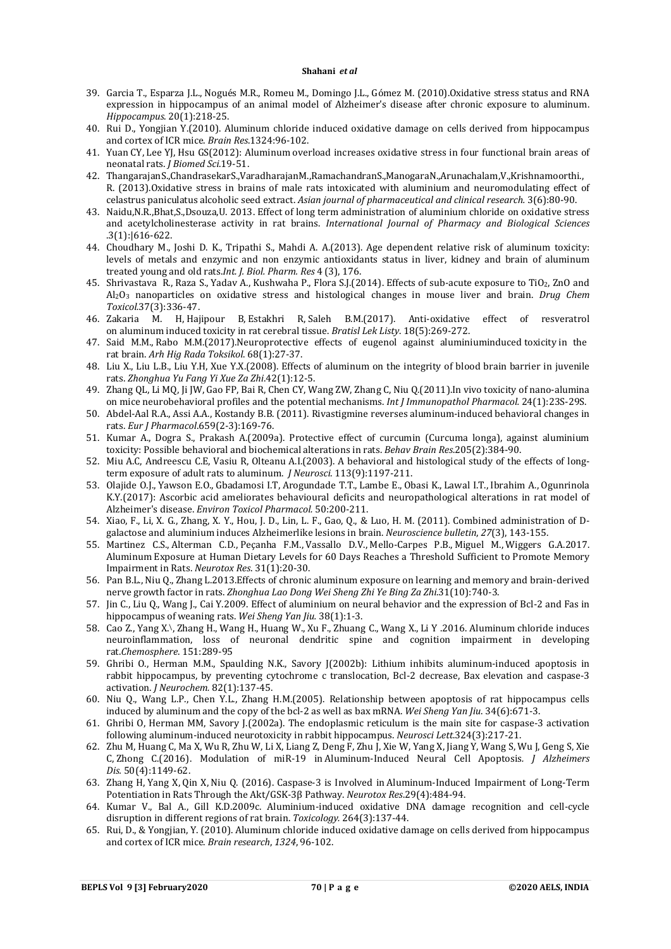- 39. Garcia T., Esparza J.L., Nogués M.R., Romeu M., Domingo J.L., Gómez M. (2010).Oxidative stress status and RNA expression in hippocampus of an animal model of Alzheimer's disease after chronic exposure to aluminum. *Hippocampus*. 20(1):218-25.
- 40. Rui D., Yongjian Y.(2010). Aluminum chloride induced oxidative damage on cells derived from hippocampus and cortex of ICR mice. *Brain Res*.1324:96-102.
- 41. Yuan CY, Lee YJ, Hsu GS(2012): Aluminum overload increases oxidative stress in four functional brain areas of neonatal rats. *J Biomed Sci*.19-51.
- 42. ThangarajanS.,ChandrasekarS.,VaradharajanM.,RamachandranS.,ManogaraN.,Arunachalam,V.,Krishnamoorthi., R. (2013).Oxidative stress in brains of male rats intoxicated with aluminium and neuromodulating effect of celastrus paniculatus alcoholic seed extract. *Asian journal of pharmaceutical and clinical research.* 3(6):80-90.
- 43. Naidu,N.R.,Bhat,S.,Dsouza,U. 2013. Effect of long term administration of aluminium chloride on oxidative stress and acetylcholinesterase activity in rat brains. *International Journal of Pharmacy and Biological Sciences* .3(1):|616-622.
- 44. Choudhary M., Joshi D. K., Tripathi S., Mahdi A. A.(2013). Age dependent relative risk of aluminum toxicity: levels of metals and enzymic and non enzymic antioxidants status in liver, kidney and brain of aluminum treated young and old rats.*Int. J. Biol. Pharm. Res* 4 (3), 176.
- 45. Shrivastava R*.*, Raza S., Yadav A., Kushwaha P., Flora S.J.(2014). Effects of sub-acute exposure to TiO2, ZnO and Al2O3 nanoparticles on oxidative stress and histological changes in mouse liver and brain. *Drug Chem Toxicol.*37(3):336-47.
- 46. Zakaria M. H, Hajipour B, Estakhri R, Saleh B.M.(2017). Anti-oxidative effect of resveratrol on aluminum induced toxicity in rat cerebral tissue. *Bratisl Lek Listy*. 18(5):269-272.
- 47. Said M.M., Rabo M.M.(2017).Neuroprotective effects of eugenol against aluminiuminduced toxicity in the rat brain. *Arh Hig Rada Toksikol*. 68(1):27-37.
- 48. Liu X., Liu L.B., Liu Y.H, Xue Y.X.(2008). Effects of aluminum on the integrity of blood brain barrier in juvenile rats. *Zhonghua Yu Fang Yi Xue Za Zhi*.42(1):12-5.
- 49. Zhang QL, Li MQ, Ji JW, Gao FP, Bai R, Chen CY, Wang ZW, Zhang C, Niu Q.(2011).In vivo toxicity of nano-alumina on mice neurobehavioral profiles and the potential mechanisms. *Int J Immunopathol Pharmacol.* 24(1):23S-29S.
- 50. Abdel-Aal R.A., Assi A.A., Kostandy B.B. (2011). Rivastigmine reverses aluminum-induced behavioral changes in rats. *Eur J Pharmacol*.659(2-3):169-76.
- 51. Kumar A., Dogra S., Prakash A.(2009a). Protective effect of curcumin (Curcuma longa), against aluminium toxicity: Possible behavioral and biochemical alterations in rats. *Behav Brain Res*.205(2):384-90.
- 52. Miu A.C, Andreescu C.E, Vasiu R, Olteanu A.I.(2003). A behavioral and histological study of the effects of longterm exposure of adult rats to aluminum. *J Neurosci*. 113(9):1197-211.
- 53. Olajide O.J., Yawson E.O., Gbadamosi I.T, Arogundade T.T., Lambe E., Obasi K., Lawal I.T., Ibrahim A., Ogunrinola K.Y.(2017): Ascorbic acid ameliorates behavioural deficits and neuropathological alterations in rat model of Alzheimer's disease. *Environ Toxicol Pharmacol.* 50:200-211.
- 54. Xiao, F., Li, X. G., Zhang, X. Y., Hou, J. D., Lin, L. F., Gao, Q., & Luo, H. M. (2011). Combined administration of Dgalactose and aluminium induces Alzheimerlike lesions in brain. *Neuroscience bulletin*, *27*(3), 143-155.
- 55. Martinez C.S., Alterman C.D., Peçanha F.M., Vassallo D.V., Mello-Carpes P.B., Miguel M., Wiggers G.A.2017. Aluminum Exposure at Human Dietary Levels for 60 Days Reaches a Threshold Sufficient to Promote Memory Impairment in Rats. *Neurotox Res*. 31(1):20-30.
- 56. Pan B.L., Niu Q., Zhang L.2013.Effects of chronic aluminum exposure on learning and memory and brain-derived nerve growth factor in rats. *Zhonghua Lao Dong Wei Sheng Zhi Ye Bing Za Zhi*.31(10):740-3.
- 57. Jin C., Liu Q., Wang J., Cai Y.2009. Effect of aluminium on neural behavior and the expression of Bcl-2 and Fas in hippocampus of weaning rats. *Wei Sheng Yan Jiu.* 38(1):1-3.
- 58. Cao Z., Yang X. \, Zhang H., Wang H., Huang W., Xu F., Zhuang C., Wang X., Li Y .2016. Aluminum chloride induces neuroinflammation, loss of neuronal dendritic spine and cognition impairment in developing rat.*Chemosphere*. 151:289-95
- 59. Ghribi O., Herman M.M., Spaulding N.K., Savory J(2002b): Lithium inhibits aluminum-induced apoptosis in rabbit hippocampus, by preventing cytochrome c translocation, Bcl-2 decrease, Bax elevation and caspase-3 activation. *J Neurochem.* 82(1):137-45.
- 60. Niu Q., Wang L.P., Chen Y.L., Zhang H.M.(2005). Relationship between apoptosis of rat hippocampus cells induced by aluminum and the copy of the bcl-2 as well as bax mRNA. *Wei Sheng Yan Jiu*. 34(6):671-3.
- 61. Ghribi O, Herman MM, Savory J.(2002a). The endoplasmic reticulum is the main site for caspase-3 activation following aluminum-induced neurotoxicity in rabbit hippocampus. *Neurosci Lett*.324(3):217-21.
- 62. Zhu M, Huang C, Ma X, Wu R, Zhu W, Li X, Liang Z, Deng F, Zhu J, Xie W, Yang X, Jiang Y, Wang S, Wu J, Geng S, Xie C, Zhong C.(2016). Modulation of miR-19 in Aluminum-Induced Neural Cell Apoptosis*. J Alzheimers Dis.* 50(4):1149-62.
- 63. Zhang H, Yang X, Qin X, Niu Q. (2016). Caspase-3 is Involved in Aluminum-Induced Impairment of Long-Term Potentiation in Rats Through the Akt/GSK-3β Pathway. *Neurotox Res*.29(4):484-94.
- 64. Kumar V., Bal A., Gill K.D.2009c. Aluminium-induced oxidative DNA damage recognition and cell-cycle disruption in different regions of rat brain. *Toxicology.* 264(3):137-44.
- 65. Rui, D., & Yongjian, Y. (2010). Aluminum chloride induced oxidative damage on cells derived from hippocampus and cortex of ICR mice. *Brain research*, *1324*, 96-102.